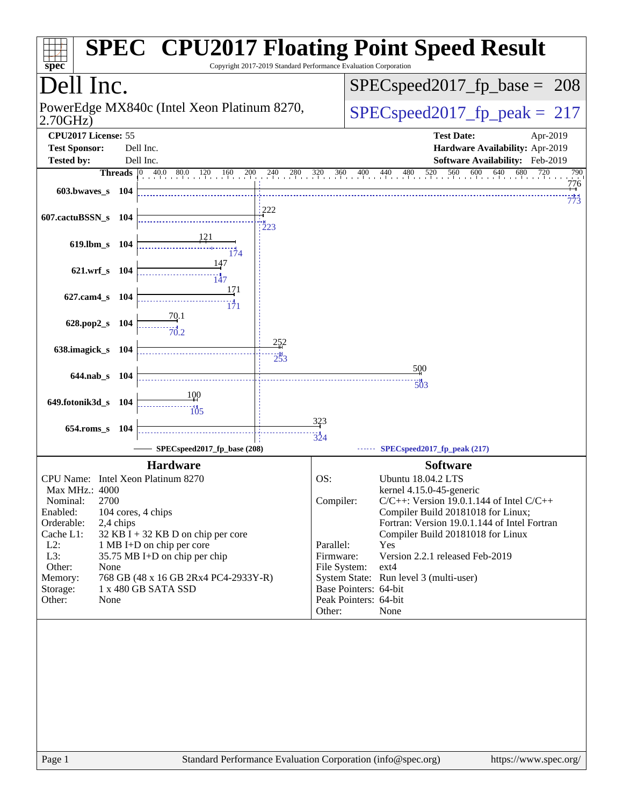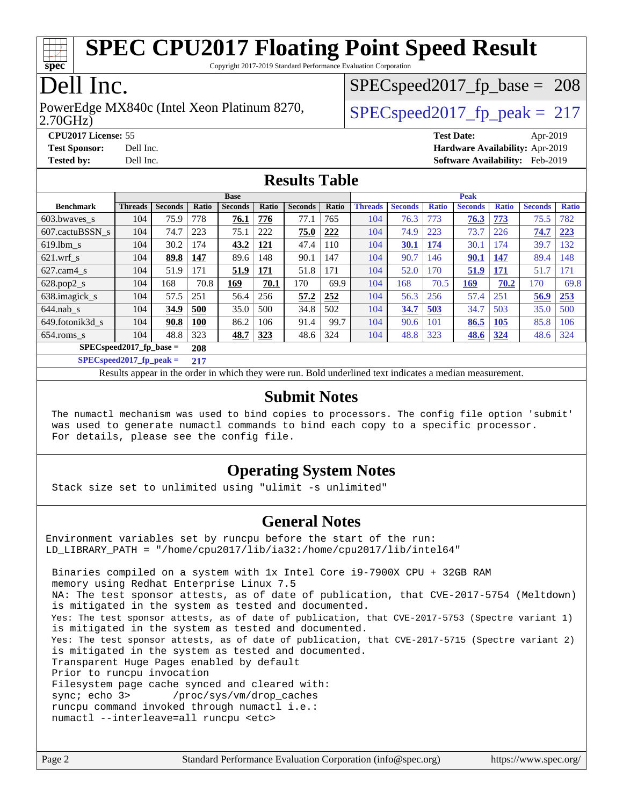

Copyright 2017-2019 Standard Performance Evaluation Corporation

# Dell Inc.

2.70GHz) PowerEdge MX840c (Intel Xeon Platinum 8270,  $\vert$  SPECspeed2017 fp\_peak = 217

SPECspeed2017 fp base =  $208$ 

**[CPU2017 License:](http://www.spec.org/auto/cpu2017/Docs/result-fields.html#CPU2017License)** 55 **[Test Date:](http://www.spec.org/auto/cpu2017/Docs/result-fields.html#TestDate)** Apr-2019 **[Test Sponsor:](http://www.spec.org/auto/cpu2017/Docs/result-fields.html#TestSponsor)** Dell Inc. **[Hardware Availability:](http://www.spec.org/auto/cpu2017/Docs/result-fields.html#HardwareAvailability)** Apr-2019 **[Tested by:](http://www.spec.org/auto/cpu2017/Docs/result-fields.html#Testedby)** Dell Inc. **[Software Availability:](http://www.spec.org/auto/cpu2017/Docs/result-fields.html#SoftwareAvailability)** Feb-2019

#### **[Results Table](http://www.spec.org/auto/cpu2017/Docs/result-fields.html#ResultsTable)**

| <b>Base</b>               |                |                |              |                |       |                | <b>Peak</b> |                |                |              |                |              |                |              |
|---------------------------|----------------|----------------|--------------|----------------|-------|----------------|-------------|----------------|----------------|--------------|----------------|--------------|----------------|--------------|
| <b>Benchmark</b>          | <b>Threads</b> | <b>Seconds</b> | <b>Ratio</b> | <b>Seconds</b> | Ratio | <b>Seconds</b> | Ratio       | <b>Threads</b> | <b>Seconds</b> | <b>Ratio</b> | <b>Seconds</b> | <b>Ratio</b> | <b>Seconds</b> | <b>Ratio</b> |
| 603.bwayes s              | 104            | 75.9           | 778          | 76.1           | 776   | 77.1           | 765         | 104            | 76.3           | 773          | 76.3           | 773          | 75.5           | 782          |
| 607.cactuBSSN s           | 104            | 74.7           | 223          | 75.1           | 222   | 75.0           | 222         | 104            | 74.9           | 223          | 73.7           | 226          | 74.7           | 223          |
| $619.$ lbm s              | 104            | 30.2           | 174          | 43.2           | 121   | 47.4           | 110         | 104            | 30.1           | 174          | 30.1           | 74           | 39.7           | 132          |
| $621$ .wrf s              | 104            | 89.8           | 147          | 89.6           | 148   | 90.1           | 147         | 104            | 90.7           | 146          | 90.1           | 147          | 89.4           | 148          |
| $627$ .cam $4 \text{ s}$  | 104            | 51.9           | 171          | 51.9           | 171   | 51.8           | 171         | 104            | 52.0           | 170          | 51.9           | 171          | 51.7           | 171          |
| $628.pop2_s$              | 104            | 168            | 70.8         | 169            | 70.1  | 170            | 69.9        | 104            | 168            | 70.5         | 169            | 70.2         | 170            | 69.8         |
| 638.imagick_s             | 104            | 57.5           | 251          | 56.4           | 256   | 57.2           | 252         | 104            | 56.3           | 256          | 57.4           | 251          | 56.9           | 253          |
| $644$ .nab s              | 104            | 34.9           | 500          | 35.0           | 500   | 34.8           | 502         | 104            | 34.7           | 503          | 34.7           | 503          | 35.0           | 500          |
| 649.fotonik3d s           | 104            | 90.8           | <b>100</b>   | 86.2           | 106   | 91.4           | 99.7        | 104            | 90.6           | 101          | 86.5           | 105          | 85.8           | 106          |
| $654$ .roms s             | 104            | 48.8           | 323          | 48.7           | 323   | 48.6           | 324         | 104            | 48.8           | 323          | 48.6           | 324          | 48.6           | 324          |
| $SPECspeed2017$ fp base = | 208            |                |              |                |       |                |             |                |                |              |                |              |                |              |

**[SPECspeed2017\\_fp\\_peak =](http://www.spec.org/auto/cpu2017/Docs/result-fields.html#SPECspeed2017fppeak) 217**

Results appear in the [order in which they were run.](http://www.spec.org/auto/cpu2017/Docs/result-fields.html#RunOrder) Bold underlined text [indicates a median measurement](http://www.spec.org/auto/cpu2017/Docs/result-fields.html#Median).

#### **[Submit Notes](http://www.spec.org/auto/cpu2017/Docs/result-fields.html#SubmitNotes)**

 The numactl mechanism was used to bind copies to processors. The config file option 'submit' was used to generate numactl commands to bind each copy to a specific processor. For details, please see the config file.

### **[Operating System Notes](http://www.spec.org/auto/cpu2017/Docs/result-fields.html#OperatingSystemNotes)**

Stack size set to unlimited using "ulimit -s unlimited"

#### **[General Notes](http://www.spec.org/auto/cpu2017/Docs/result-fields.html#GeneralNotes)**

Environment variables set by runcpu before the start of the run: LD LIBRARY PATH = "/home/cpu2017/lib/ia32:/home/cpu2017/lib/intel64"

 Binaries compiled on a system with 1x Intel Core i9-7900X CPU + 32GB RAM memory using Redhat Enterprise Linux 7.5 NA: The test sponsor attests, as of date of publication, that CVE-2017-5754 (Meltdown) is mitigated in the system as tested and documented. Yes: The test sponsor attests, as of date of publication, that CVE-2017-5753 (Spectre variant 1) is mitigated in the system as tested and documented. Yes: The test sponsor attests, as of date of publication, that CVE-2017-5715 (Spectre variant 2) is mitigated in the system as tested and documented. Transparent Huge Pages enabled by default Prior to runcpu invocation Filesystem page cache synced and cleared with: sync; echo 3> /proc/sys/vm/drop\_caches runcpu command invoked through numactl i.e.: numactl --interleave=all runcpu <etc>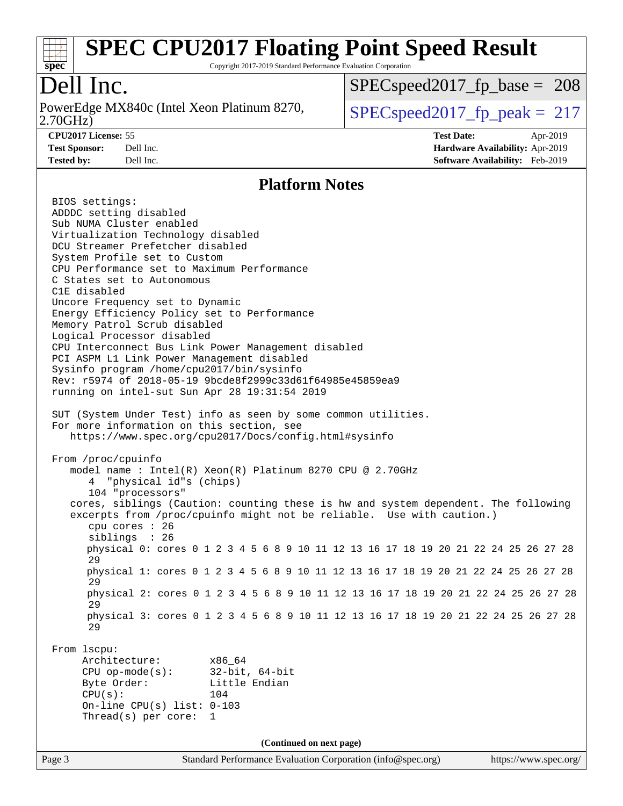

Copyright 2017-2019 Standard Performance Evaluation Corporation

# Dell Inc.

2.70GHz) PowerEdge MX840c (Intel Xeon Platinum 8270,  $\vert$  SPECspeed2017 fp\_peak = 217

SPECspeed2017 fp base =  $208$ 

**[CPU2017 License:](http://www.spec.org/auto/cpu2017/Docs/result-fields.html#CPU2017License)** 55 **[Test Date:](http://www.spec.org/auto/cpu2017/Docs/result-fields.html#TestDate)** Apr-2019 **[Test Sponsor:](http://www.spec.org/auto/cpu2017/Docs/result-fields.html#TestSponsor)** Dell Inc. **[Hardware Availability:](http://www.spec.org/auto/cpu2017/Docs/result-fields.html#HardwareAvailability)** Apr-2019 **[Tested by:](http://www.spec.org/auto/cpu2017/Docs/result-fields.html#Testedby)** Dell Inc. **[Software Availability:](http://www.spec.org/auto/cpu2017/Docs/result-fields.html#SoftwareAvailability)** Feb-2019

#### **[Platform Notes](http://www.spec.org/auto/cpu2017/Docs/result-fields.html#PlatformNotes)**

Page 3 Standard Performance Evaluation Corporation [\(info@spec.org\)](mailto:info@spec.org) <https://www.spec.org/> BIOS settings: ADDDC setting disabled Sub NUMA Cluster enabled Virtualization Technology disabled DCU Streamer Prefetcher disabled System Profile set to Custom CPU Performance set to Maximum Performance C States set to Autonomous C1E disabled Uncore Frequency set to Dynamic Energy Efficiency Policy set to Performance Memory Patrol Scrub disabled Logical Processor disabled CPU Interconnect Bus Link Power Management disabled PCI ASPM L1 Link Power Management disabled Sysinfo program /home/cpu2017/bin/sysinfo Rev: r5974 of 2018-05-19 9bcde8f2999c33d61f64985e45859ea9 running on intel-sut Sun Apr 28 19:31:54 2019 SUT (System Under Test) info as seen by some common utilities. For more information on this section, see <https://www.spec.org/cpu2017/Docs/config.html#sysinfo> From /proc/cpuinfo model name : Intel(R) Xeon(R) Platinum 8270 CPU @ 2.70GHz 4 "physical id"s (chips) 104 "processors" cores, siblings (Caution: counting these is hw and system dependent. The following excerpts from /proc/cpuinfo might not be reliable. Use with caution.) cpu cores : 26 siblings : 26 physical 0: cores 0 1 2 3 4 5 6 8 9 10 11 12 13 16 17 18 19 20 21 22 24 25 26 27 28 29 physical 1: cores 0 1 2 3 4 5 6 8 9 10 11 12 13 16 17 18 19 20 21 22 24 25 26 27 28 29 physical 2: cores 0 1 2 3 4 5 6 8 9 10 11 12 13 16 17 18 19 20 21 22 24 25 26 27 28 29 physical 3: cores 0 1 2 3 4 5 6 8 9 10 11 12 13 16 17 18 19 20 21 22 24 25 26 27 28 29 From lscpu: Architecture: x86\_64 CPU op-mode(s): 32-bit, 64-bit Byte Order: Little Endian CPU(s): 104 On-line CPU(s) list: 0-103 Thread(s) per core: 1 **(Continued on next page)**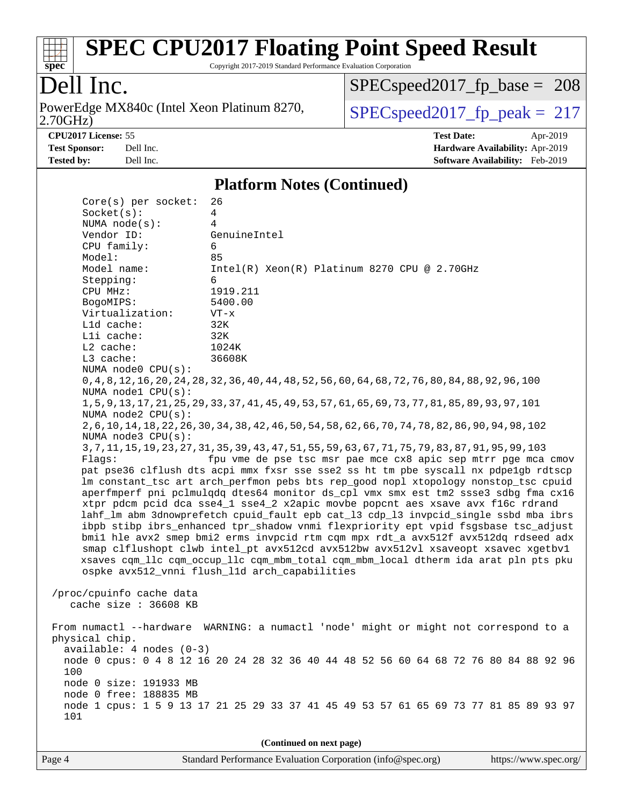

Copyright 2017-2019 Standard Performance Evaluation Corporation

# Dell Inc.

2.70GHz) PowerEdge MX840c (Intel Xeon Platinum 8270,  $\boxed{\text{SPEC speed2017\_fp\_peak = 217}}$ 

[SPECspeed2017\\_fp\\_base =](http://www.spec.org/auto/cpu2017/Docs/result-fields.html#SPECspeed2017fpbase) 208

**[CPU2017 License:](http://www.spec.org/auto/cpu2017/Docs/result-fields.html#CPU2017License)** 55 **[Test Date:](http://www.spec.org/auto/cpu2017/Docs/result-fields.html#TestDate)** Apr-2019 **[Test Sponsor:](http://www.spec.org/auto/cpu2017/Docs/result-fields.html#TestSponsor)** Dell Inc. **[Hardware Availability:](http://www.spec.org/auto/cpu2017/Docs/result-fields.html#HardwareAvailability)** Apr-2019 **[Tested by:](http://www.spec.org/auto/cpu2017/Docs/result-fields.html#Testedby)** Dell Inc. **[Software Availability:](http://www.spec.org/auto/cpu2017/Docs/result-fields.html#SoftwareAvailability)** Feb-2019

#### **[Platform Notes \(Continued\)](http://www.spec.org/auto/cpu2017/Docs/result-fields.html#PlatformNotes)**

| $Core(s)$ per socket:    | 26                                                                                                    |
|--------------------------|-------------------------------------------------------------------------------------------------------|
| Socket(s):               | 4                                                                                                     |
| NUMA $node(s):$          | 4                                                                                                     |
| Vendor ID:               | GenuineIntel                                                                                          |
| CPU family:              | 6                                                                                                     |
| Model:                   | 85                                                                                                    |
| Model name:              | $Intel(R)$ Xeon $(R)$ Platinum 8270 CPU @ 2.70GHz                                                     |
| Stepping:                | 6                                                                                                     |
| CPU MHz:                 | 1919.211                                                                                              |
| BogoMIPS:                | 5400.00                                                                                               |
| Virtualization:          | $VT - x$                                                                                              |
| L1d cache:               | 32K                                                                                                   |
| Lli cache:               | 32K                                                                                                   |
| $L2$ cache:              | 1024K                                                                                                 |
| L3 cache:                | 36608K                                                                                                |
| NUMA node0 CPU(s):       |                                                                                                       |
|                          | 0, 4, 8, 12, 16, 20, 24, 28, 32, 36, 40, 44, 48, 52, 56, 60, 64, 68, 72, 76, 80, 84, 88, 92, 96, 100  |
| NUMA nodel CPU(s):       |                                                                                                       |
|                          | 1, 5, 9, 13, 17, 21, 25, 29, 33, 37, 41, 45, 49, 53, 57, 61, 65, 69, 73, 77, 81, 85, 89, 93, 97, 101  |
| NUMA node2 CPU(s):       |                                                                                                       |
|                          | 2, 6, 10, 14, 18, 22, 26, 30, 34, 38, 42, 46, 50, 54, 58, 62, 66, 70, 74, 78, 82, 86, 90, 94, 98, 102 |
| NUMA $node3$ $CPU(s)$ :  | 3, 7, 11, 15, 19, 23, 27, 31, 35, 39, 43, 47, 51, 55, 59, 63, 67, 71, 75, 79, 83, 87, 91, 95, 99, 103 |
| Flaqs:                   | fpu vme de pse tsc msr pae mce cx8 apic sep mtrr pge mca cmov                                         |
|                          | pat pse36 clflush dts acpi mmx fxsr sse sse2 ss ht tm pbe syscall nx pdpelgb rdtscp                   |
|                          | lm constant_tsc art arch_perfmon pebs bts rep_good nopl xtopology nonstop_tsc cpuid                   |
|                          | aperfmperf pni pclmulqdq dtes64 monitor ds_cpl vmx smx est tm2 ssse3 sdbg fma cx16                    |
|                          | xtpr pdcm pcid dca sse4_1 sse4_2 x2apic movbe popcnt aes xsave avx f16c rdrand                        |
|                          | lahf_lm abm 3dnowprefetch cpuid_fault epb cat_13 cdp_13 invpcid_single ssbd mba ibrs                  |
|                          | ibpb stibp ibrs_enhanced tpr_shadow vnmi flexpriority ept vpid fsgsbase tsc_adjust                    |
|                          | bmil hle avx2 smep bmi2 erms invpcid rtm cqm mpx rdt_a avx512f avx512dq rdseed adx                    |
|                          | smap clflushopt clwb intel_pt avx512cd avx512bw avx512vl xsaveopt xsavec xgetbvl                      |
|                          | xsaves cqm_llc cqm_occup_llc cqm_mbm_total cqm_mbm_local dtherm ida arat pln pts pku                  |
|                          | ospke avx512_vnni flush_lld arch_capabilities                                                         |
|                          |                                                                                                       |
| /proc/cpuinfo cache data |                                                                                                       |
| cache size : 36608 KB    |                                                                                                       |
|                          |                                                                                                       |
|                          | From numactl --hardware WARNING: a numactl 'node' might or might not correspond to a                  |
| physical chip.           |                                                                                                       |
| available: 4 nodes (0-3) |                                                                                                       |
|                          | node 0 cpus: 0 4 8 12 16 20 24 28 32 36 40 44 48 52 56 60 64 68 72 76 80 84 88 92 96                  |
| 100                      |                                                                                                       |
| node 0 size: 191933 MB   |                                                                                                       |
| node 0 free: 188835 MB   |                                                                                                       |
|                          | node 1 cpus: 1 5 9 13 17 21 25 29 33 37 41 45 49 53 57 61 65 69 73 77 81 85 89 93 97                  |
| 101                      |                                                                                                       |
|                          |                                                                                                       |
|                          | (Continued on next page)                                                                              |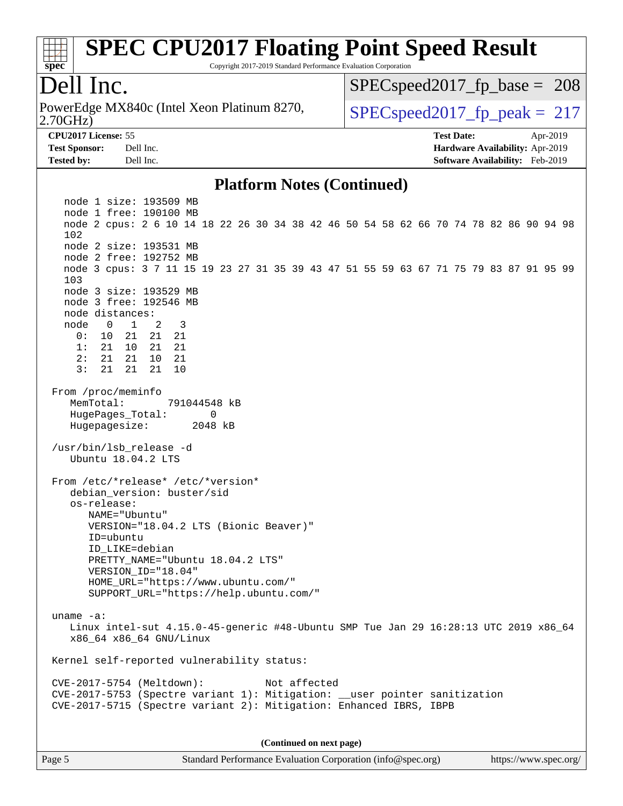

Copyright 2017-2019 Standard Performance Evaluation Corporation

### Dell Inc.

2.70GHz) PowerEdge MX840c (Intel Xeon Platinum 8270,  $\vert$  SPECspeed2017 fp\_peak = 217

SPECspeed2017 fp base =  $208$ 

**[CPU2017 License:](http://www.spec.org/auto/cpu2017/Docs/result-fields.html#CPU2017License)** 55 **[Test Date:](http://www.spec.org/auto/cpu2017/Docs/result-fields.html#TestDate)** Apr-2019 **[Test Sponsor:](http://www.spec.org/auto/cpu2017/Docs/result-fields.html#TestSponsor)** Dell Inc. **[Hardware Availability:](http://www.spec.org/auto/cpu2017/Docs/result-fields.html#HardwareAvailability)** Apr-2019 **[Tested by:](http://www.spec.org/auto/cpu2017/Docs/result-fields.html#Testedby)** Dell Inc. **[Software Availability:](http://www.spec.org/auto/cpu2017/Docs/result-fields.html#SoftwareAvailability)** Feb-2019

#### **[Platform Notes \(Continued\)](http://www.spec.org/auto/cpu2017/Docs/result-fields.html#PlatformNotes)**

 node 1 size: 193509 MB node 1 free: 190100 MB node 2 cpus: 2 6 10 14 18 22 26 30 34 38 42 46 50 54 58 62 66 70 74 78 82 86 90 94 98 102 node 2 size: 193531 MB node 2 free: 192752 MB node 3 cpus: 3 7 11 15 19 23 27 31 35 39 43 47 51 55 59 63 67 71 75 79 83 87 91 95 99 103 node 3 size: 193529 MB node 3 free: 192546 MB node distances: node 0 1 2 3 0: 10 21 21 21 1: 21 10 21 21 2: 21 21 10 21 3: 21 21 21 10 From /proc/meminfo MemTotal: 791044548 kB HugePages\_Total: 0 Hugepagesize: 2048 kB /usr/bin/lsb\_release -d Ubuntu 18.04.2 LTS From /etc/\*release\* /etc/\*version\* debian\_version: buster/sid os-release: NAME="Ubuntu" VERSION="18.04.2 LTS (Bionic Beaver)" ID=ubuntu ID\_LIKE=debian PRETTY\_NAME="Ubuntu 18.04.2 LTS" VERSION\_ID="18.04" HOME\_URL="<https://www.ubuntu.com/"> SUPPORT\_URL="<https://help.ubuntu.com/"> uname -a: Linux intel-sut 4.15.0-45-generic #48-Ubuntu SMP Tue Jan 29 16:28:13 UTC 2019 x86\_64 x86\_64 x86\_64 GNU/Linux Kernel self-reported vulnerability status: CVE-2017-5754 (Meltdown): Not affected CVE-2017-5753 (Spectre variant 1): Mitigation: \_\_user pointer sanitization CVE-2017-5715 (Spectre variant 2): Mitigation: Enhanced IBRS, IBPB

**(Continued on next page)**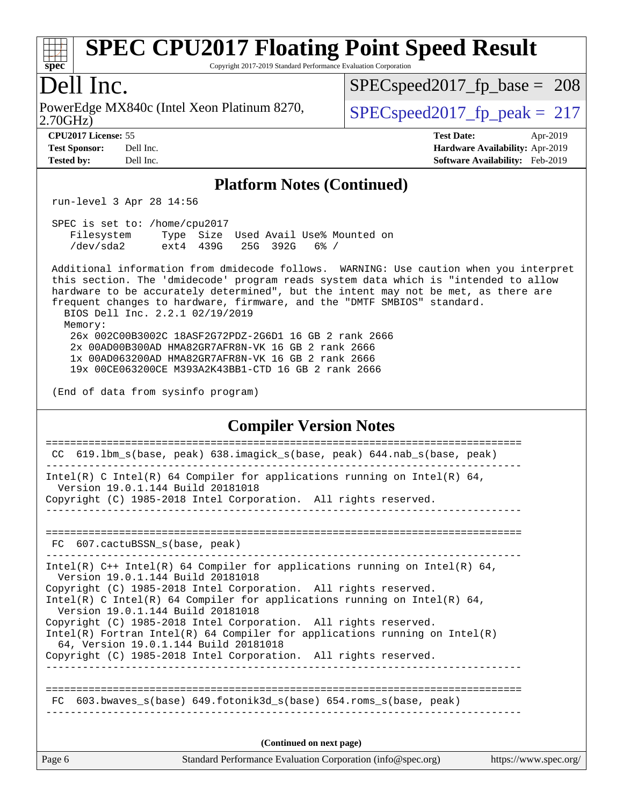# **[spec](http://www.spec.org/)**

# **[SPEC CPU2017 Floating Point Speed Result](http://www.spec.org/auto/cpu2017/Docs/result-fields.html#SPECCPU2017FloatingPointSpeedResult)**

Copyright 2017-2019 Standard Performance Evaluation Corporation

### Dell Inc.

2.70GHz) PowerEdge MX840c (Intel Xeon Platinum 8270,  $\vert$  SPECspeed2017 fp\_peak = 217

SPECspeed2017 fp base =  $208$ 

**[Test Sponsor:](http://www.spec.org/auto/cpu2017/Docs/result-fields.html#TestSponsor)** Dell Inc. **[Hardware Availability:](http://www.spec.org/auto/cpu2017/Docs/result-fields.html#HardwareAvailability)** Apr-2019 **[Tested by:](http://www.spec.org/auto/cpu2017/Docs/result-fields.html#Testedby)** Dell Inc. **[Software Availability:](http://www.spec.org/auto/cpu2017/Docs/result-fields.html#SoftwareAvailability)** Feb-2019

**[CPU2017 License:](http://www.spec.org/auto/cpu2017/Docs/result-fields.html#CPU2017License)** 55 **[Test Date:](http://www.spec.org/auto/cpu2017/Docs/result-fields.html#TestDate)** Apr-2019

**[Platform Notes \(Continued\)](http://www.spec.org/auto/cpu2017/Docs/result-fields.html#PlatformNotes)**

run-level 3 Apr 28 14:56

 SPEC is set to: /home/cpu2017 Filesystem Type Size Used Avail Use% Mounted on /dev/sda2 ext4 439G 25G 392G 6% /

 Additional information from dmidecode follows. WARNING: Use caution when you interpret this section. The 'dmidecode' program reads system data which is "intended to allow hardware to be accurately determined", but the intent may not be met, as there are frequent changes to hardware, firmware, and the "DMTF SMBIOS" standard. BIOS Dell Inc. 2.2.1 02/19/2019 Memory: 26x 002C00B3002C 18ASF2G72PDZ-2G6D1 16 GB 2 rank 2666 2x 00AD00B300AD HMA82GR7AFR8N-VK 16 GB 2 rank 2666 1x 00AD063200AD HMA82GR7AFR8N-VK 16 GB 2 rank 2666

19x 00CE063200CE M393A2K43BB1-CTD 16 GB 2 rank 2666

(End of data from sysinfo program)

#### **[Compiler Version Notes](http://www.spec.org/auto/cpu2017/Docs/result-fields.html#CompilerVersionNotes)**

Page 6 Standard Performance Evaluation Corporation [\(info@spec.org\)](mailto:info@spec.org) <https://www.spec.org/> ============================================================================== CC 619.lbm\_s(base, peak) 638.imagick\_s(base, peak) 644.nab\_s(base, peak) ------------------------------------------------------------------------------ Intel(R) C Intel(R) 64 Compiler for applications running on Intel(R) 64, Version 19.0.1.144 Build 20181018 Copyright (C) 1985-2018 Intel Corporation. All rights reserved. ------------------------------------------------------------------------------ ============================================================================== FC 607.cactuBSSN s(base, peak) ------------------------------------------------------------------------------ Intel(R)  $C++$  Intel(R) 64 Compiler for applications running on Intel(R) 64, Version 19.0.1.144 Build 20181018 Copyright (C) 1985-2018 Intel Corporation. All rights reserved. Intel(R) C Intel(R) 64 Compiler for applications running on Intel(R)  $64$ , Version 19.0.1.144 Build 20181018 Copyright (C) 1985-2018 Intel Corporation. All rights reserved. Intel(R) Fortran Intel(R) 64 Compiler for applications running on Intel(R) 64, Version 19.0.1.144 Build 20181018 Copyright (C) 1985-2018 Intel Corporation. All rights reserved. ------------------------------------------------------------------------------ ============================================================================== FC 603.bwaves\_s(base) 649.fotonik3d\_s(base) 654.roms\_s(base, peak) **(Continued on next page)**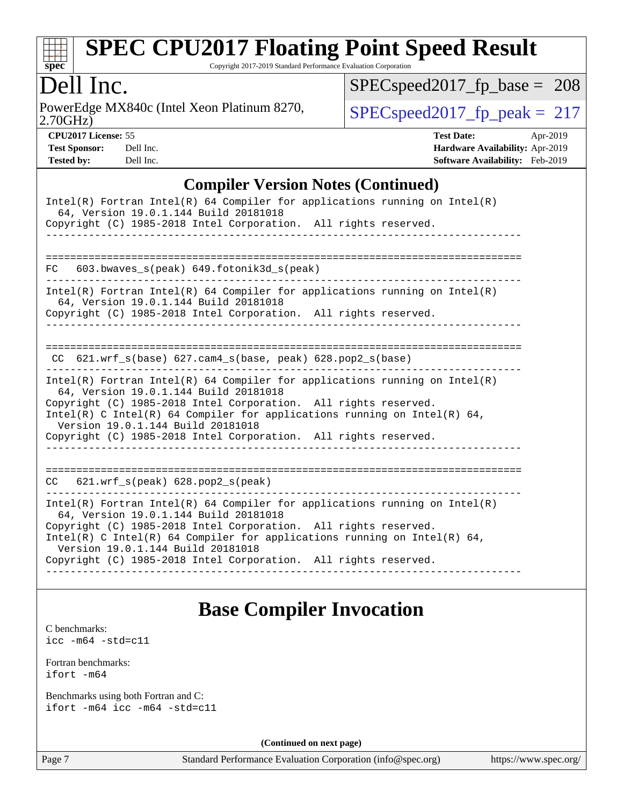

Copyright 2017-2019 Standard Performance Evaluation Corporation

### Dell Inc.

2.70GHz) PowerEdge MX840c (Intel Xeon Platinum 8270,  $\vert$  [SPECspeed2017\\_fp\\_peak =](http://www.spec.org/auto/cpu2017/Docs/result-fields.html#SPECspeed2017fppeak) 217

[SPECspeed2017\\_fp\\_base =](http://www.spec.org/auto/cpu2017/Docs/result-fields.html#SPECspeed2017fpbase) 208

**[CPU2017 License:](http://www.spec.org/auto/cpu2017/Docs/result-fields.html#CPU2017License)** 55 **[Test Date:](http://www.spec.org/auto/cpu2017/Docs/result-fields.html#TestDate)** Apr-2019 **[Test Sponsor:](http://www.spec.org/auto/cpu2017/Docs/result-fields.html#TestSponsor)** Dell Inc. **[Hardware Availability:](http://www.spec.org/auto/cpu2017/Docs/result-fields.html#HardwareAvailability)** Apr-2019 **[Tested by:](http://www.spec.org/auto/cpu2017/Docs/result-fields.html#Testedby)** Dell Inc. **[Software Availability:](http://www.spec.org/auto/cpu2017/Docs/result-fields.html#SoftwareAvailability)** Feb-2019

#### **[Compiler Version Notes \(Continued\)](http://www.spec.org/auto/cpu2017/Docs/result-fields.html#CompilerVersionNotes)**

| $Intel(R)$ Fortran Intel(R) 64 Compiler for applications running on Intel(R)<br>64, Version 19.0.1.144 Build 20181018<br>Copyright (C) 1985-2018 Intel Corporation. All rights reserved.                                                                                                                                                                                     |
|------------------------------------------------------------------------------------------------------------------------------------------------------------------------------------------------------------------------------------------------------------------------------------------------------------------------------------------------------------------------------|
|                                                                                                                                                                                                                                                                                                                                                                              |
| 603.bwaves_s(peak) 649.fotonik3d_s(peak)<br>FC                                                                                                                                                                                                                                                                                                                               |
| Intel(R) Fortran Intel(R) 64 Compiler for applications running on Intel(R)<br>64, Version 19.0.1.144 Build 20181018<br>Copyright (C) 1985-2018 Intel Corporation. All rights reserved.                                                                                                                                                                                       |
|                                                                                                                                                                                                                                                                                                                                                                              |
|                                                                                                                                                                                                                                                                                                                                                                              |
| $CC$ 621.wrf_s(base) 627.cam4_s(base, peak) 628.pop2_s(base)                                                                                                                                                                                                                                                                                                                 |
| Intel(R) Fortran Intel(R) 64 Compiler for applications running on Intel(R)<br>64, Version 19.0.1.144 Build 20181018<br>Copyright (C) 1985-2018 Intel Corporation. All rights reserved.<br>Intel(R) C Intel(R) 64 Compiler for applications running on Intel(R) 64,<br>Version 19.0.1.144 Build 20181018<br>Copyright (C) 1985-2018 Intel Corporation. All rights reserved.   |
|                                                                                                                                                                                                                                                                                                                                                                              |
| $621.wrf$ s(peak) $628.pop2$ s(peak)<br>CC                                                                                                                                                                                                                                                                                                                                   |
| $Intel(R)$ Fortran Intel(R) 64 Compiler for applications running on Intel(R)<br>64, Version 19.0.1.144 Build 20181018<br>Copyright (C) 1985-2018 Intel Corporation. All rights reserved.<br>Intel(R) C Intel(R) 64 Compiler for applications running on Intel(R) 64,<br>Version 19.0.1.144 Build 20181018<br>Copyright (C) 1985-2018 Intel Corporation. All rights reserved. |
|                                                                                                                                                                                                                                                                                                                                                                              |

### **[Base Compiler Invocation](http://www.spec.org/auto/cpu2017/Docs/result-fields.html#BaseCompilerInvocation)**

[C benchmarks](http://www.spec.org/auto/cpu2017/Docs/result-fields.html#Cbenchmarks): [icc -m64 -std=c11](http://www.spec.org/cpu2017/results/res2019q3/cpu2017-20190624-15422.flags.html#user_CCbase_intel_icc_64bit_c11_33ee0cdaae7deeeab2a9725423ba97205ce30f63b9926c2519791662299b76a0318f32ddfffdc46587804de3178b4f9328c46fa7c2b0cd779d7a61945c91cd35)

[Fortran benchmarks](http://www.spec.org/auto/cpu2017/Docs/result-fields.html#Fortranbenchmarks):

[ifort -m64](http://www.spec.org/cpu2017/results/res2019q3/cpu2017-20190624-15422.flags.html#user_FCbase_intel_ifort_64bit_24f2bb282fbaeffd6157abe4f878425411749daecae9a33200eee2bee2fe76f3b89351d69a8130dd5949958ce389cf37ff59a95e7a40d588e8d3a57e0c3fd751)

[Benchmarks using both Fortran and C](http://www.spec.org/auto/cpu2017/Docs/result-fields.html#BenchmarksusingbothFortranandC): [ifort -m64](http://www.spec.org/cpu2017/results/res2019q3/cpu2017-20190624-15422.flags.html#user_CC_FCbase_intel_ifort_64bit_24f2bb282fbaeffd6157abe4f878425411749daecae9a33200eee2bee2fe76f3b89351d69a8130dd5949958ce389cf37ff59a95e7a40d588e8d3a57e0c3fd751) [icc -m64 -std=c11](http://www.spec.org/cpu2017/results/res2019q3/cpu2017-20190624-15422.flags.html#user_CC_FCbase_intel_icc_64bit_c11_33ee0cdaae7deeeab2a9725423ba97205ce30f63b9926c2519791662299b76a0318f32ddfffdc46587804de3178b4f9328c46fa7c2b0cd779d7a61945c91cd35)

**(Continued on next page)**

Page 7 Standard Performance Evaluation Corporation [\(info@spec.org\)](mailto:info@spec.org) <https://www.spec.org/>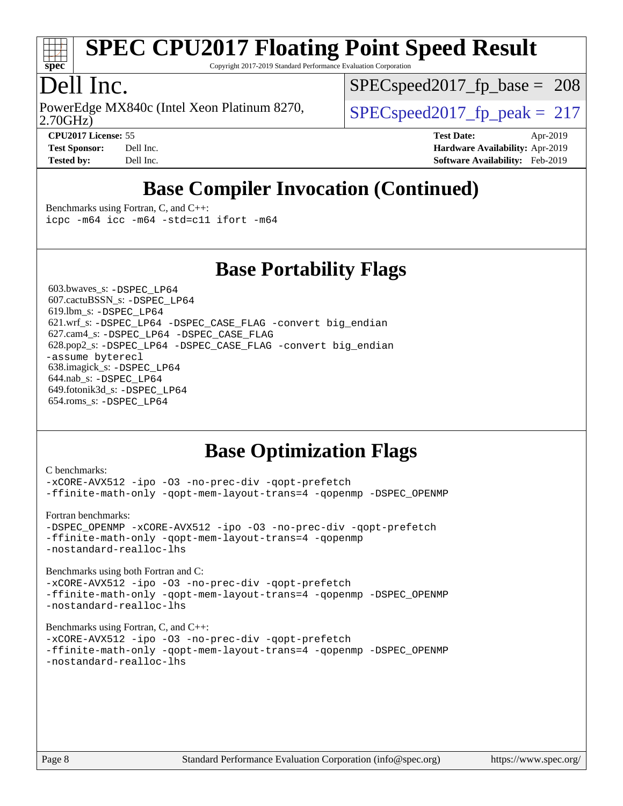

Copyright 2017-2019 Standard Performance Evaluation Corporation

# Dell Inc.

2.70GHz) PowerEdge MX840c (Intel Xeon Platinum 8270,  $\vert$  SPECspeed2017 fp\_peak = 217

SPECspeed2017 fp base =  $208$ 

**[CPU2017 License:](http://www.spec.org/auto/cpu2017/Docs/result-fields.html#CPU2017License)** 55 **[Test Date:](http://www.spec.org/auto/cpu2017/Docs/result-fields.html#TestDate)** Apr-2019 **[Test Sponsor:](http://www.spec.org/auto/cpu2017/Docs/result-fields.html#TestSponsor)** Dell Inc. **[Hardware Availability:](http://www.spec.org/auto/cpu2017/Docs/result-fields.html#HardwareAvailability)** Apr-2019 **[Tested by:](http://www.spec.org/auto/cpu2017/Docs/result-fields.html#Testedby)** Dell Inc. **[Software Availability:](http://www.spec.org/auto/cpu2017/Docs/result-fields.html#SoftwareAvailability)** Feb-2019

# **[Base Compiler Invocation \(Continued\)](http://www.spec.org/auto/cpu2017/Docs/result-fields.html#BaseCompilerInvocation)**

[Benchmarks using Fortran, C, and C++:](http://www.spec.org/auto/cpu2017/Docs/result-fields.html#BenchmarksusingFortranCandCXX) [icpc -m64](http://www.spec.org/cpu2017/results/res2019q3/cpu2017-20190624-15422.flags.html#user_CC_CXX_FCbase_intel_icpc_64bit_4ecb2543ae3f1412ef961e0650ca070fec7b7afdcd6ed48761b84423119d1bf6bdf5cad15b44d48e7256388bc77273b966e5eb805aefd121eb22e9299b2ec9d9) [icc -m64 -std=c11](http://www.spec.org/cpu2017/results/res2019q3/cpu2017-20190624-15422.flags.html#user_CC_CXX_FCbase_intel_icc_64bit_c11_33ee0cdaae7deeeab2a9725423ba97205ce30f63b9926c2519791662299b76a0318f32ddfffdc46587804de3178b4f9328c46fa7c2b0cd779d7a61945c91cd35) [ifort -m64](http://www.spec.org/cpu2017/results/res2019q3/cpu2017-20190624-15422.flags.html#user_CC_CXX_FCbase_intel_ifort_64bit_24f2bb282fbaeffd6157abe4f878425411749daecae9a33200eee2bee2fe76f3b89351d69a8130dd5949958ce389cf37ff59a95e7a40d588e8d3a57e0c3fd751)

### **[Base Portability Flags](http://www.spec.org/auto/cpu2017/Docs/result-fields.html#BasePortabilityFlags)**

 603.bwaves\_s: [-DSPEC\\_LP64](http://www.spec.org/cpu2017/results/res2019q3/cpu2017-20190624-15422.flags.html#suite_basePORTABILITY603_bwaves_s_DSPEC_LP64) 607.cactuBSSN\_s: [-DSPEC\\_LP64](http://www.spec.org/cpu2017/results/res2019q3/cpu2017-20190624-15422.flags.html#suite_basePORTABILITY607_cactuBSSN_s_DSPEC_LP64) 619.lbm\_s: [-DSPEC\\_LP64](http://www.spec.org/cpu2017/results/res2019q3/cpu2017-20190624-15422.flags.html#suite_basePORTABILITY619_lbm_s_DSPEC_LP64) 621.wrf\_s: [-DSPEC\\_LP64](http://www.spec.org/cpu2017/results/res2019q3/cpu2017-20190624-15422.flags.html#suite_basePORTABILITY621_wrf_s_DSPEC_LP64) [-DSPEC\\_CASE\\_FLAG](http://www.spec.org/cpu2017/results/res2019q3/cpu2017-20190624-15422.flags.html#b621.wrf_s_baseCPORTABILITY_DSPEC_CASE_FLAG) [-convert big\\_endian](http://www.spec.org/cpu2017/results/res2019q3/cpu2017-20190624-15422.flags.html#user_baseFPORTABILITY621_wrf_s_convert_big_endian_c3194028bc08c63ac5d04de18c48ce6d347e4e562e8892b8bdbdc0214820426deb8554edfa529a3fb25a586e65a3d812c835984020483e7e73212c4d31a38223) 627.cam4\_s: [-DSPEC\\_LP64](http://www.spec.org/cpu2017/results/res2019q3/cpu2017-20190624-15422.flags.html#suite_basePORTABILITY627_cam4_s_DSPEC_LP64) [-DSPEC\\_CASE\\_FLAG](http://www.spec.org/cpu2017/results/res2019q3/cpu2017-20190624-15422.flags.html#b627.cam4_s_baseCPORTABILITY_DSPEC_CASE_FLAG) 628.pop2\_s: [-DSPEC\\_LP64](http://www.spec.org/cpu2017/results/res2019q3/cpu2017-20190624-15422.flags.html#suite_basePORTABILITY628_pop2_s_DSPEC_LP64) [-DSPEC\\_CASE\\_FLAG](http://www.spec.org/cpu2017/results/res2019q3/cpu2017-20190624-15422.flags.html#b628.pop2_s_baseCPORTABILITY_DSPEC_CASE_FLAG) [-convert big\\_endian](http://www.spec.org/cpu2017/results/res2019q3/cpu2017-20190624-15422.flags.html#user_baseFPORTABILITY628_pop2_s_convert_big_endian_c3194028bc08c63ac5d04de18c48ce6d347e4e562e8892b8bdbdc0214820426deb8554edfa529a3fb25a586e65a3d812c835984020483e7e73212c4d31a38223) [-assume byterecl](http://www.spec.org/cpu2017/results/res2019q3/cpu2017-20190624-15422.flags.html#user_baseFPORTABILITY628_pop2_s_assume_byterecl_7e47d18b9513cf18525430bbf0f2177aa9bf368bc7a059c09b2c06a34b53bd3447c950d3f8d6c70e3faf3a05c8557d66a5798b567902e8849adc142926523472) 638.imagick\_s: [-DSPEC\\_LP64](http://www.spec.org/cpu2017/results/res2019q3/cpu2017-20190624-15422.flags.html#suite_basePORTABILITY638_imagick_s_DSPEC_LP64) 644.nab\_s: [-DSPEC\\_LP64](http://www.spec.org/cpu2017/results/res2019q3/cpu2017-20190624-15422.flags.html#suite_basePORTABILITY644_nab_s_DSPEC_LP64) 649.fotonik3d\_s: [-DSPEC\\_LP64](http://www.spec.org/cpu2017/results/res2019q3/cpu2017-20190624-15422.flags.html#suite_basePORTABILITY649_fotonik3d_s_DSPEC_LP64) 654.roms\_s: [-DSPEC\\_LP64](http://www.spec.org/cpu2017/results/res2019q3/cpu2017-20190624-15422.flags.html#suite_basePORTABILITY654_roms_s_DSPEC_LP64)

### **[Base Optimization Flags](http://www.spec.org/auto/cpu2017/Docs/result-fields.html#BaseOptimizationFlags)**

[C benchmarks](http://www.spec.org/auto/cpu2017/Docs/result-fields.html#Cbenchmarks): [-xCORE-AVX512](http://www.spec.org/cpu2017/results/res2019q3/cpu2017-20190624-15422.flags.html#user_CCbase_f-xCORE-AVX512) [-ipo](http://www.spec.org/cpu2017/results/res2019q3/cpu2017-20190624-15422.flags.html#user_CCbase_f-ipo) -03 [-no-prec-div](http://www.spec.org/cpu2017/results/res2019q3/cpu2017-20190624-15422.flags.html#user_CCbase_f-no-prec-div) [-qopt-prefetch](http://www.spec.org/cpu2017/results/res2019q3/cpu2017-20190624-15422.flags.html#user_CCbase_f-qopt-prefetch) [-ffinite-math-only](http://www.spec.org/cpu2017/results/res2019q3/cpu2017-20190624-15422.flags.html#user_CCbase_f_finite_math_only_cb91587bd2077682c4b38af759c288ed7c732db004271a9512da14a4f8007909a5f1427ecbf1a0fb78ff2a814402c6114ac565ca162485bbcae155b5e4258871) [-qopt-mem-layout-trans=4](http://www.spec.org/cpu2017/results/res2019q3/cpu2017-20190624-15422.flags.html#user_CCbase_f-qopt-mem-layout-trans_fa39e755916c150a61361b7846f310bcdf6f04e385ef281cadf3647acec3f0ae266d1a1d22d972a7087a248fd4e6ca390a3634700869573d231a252c784941a8) [-qopenmp](http://www.spec.org/cpu2017/results/res2019q3/cpu2017-20190624-15422.flags.html#user_CCbase_qopenmp_16be0c44f24f464004c6784a7acb94aca937f053568ce72f94b139a11c7c168634a55f6653758ddd83bcf7b8463e8028bb0b48b77bcddc6b78d5d95bb1df2967) [-DSPEC\\_OPENMP](http://www.spec.org/cpu2017/results/res2019q3/cpu2017-20190624-15422.flags.html#suite_CCbase_DSPEC_OPENMP) [Fortran benchmarks](http://www.spec.org/auto/cpu2017/Docs/result-fields.html#Fortranbenchmarks): [-DSPEC\\_OPENMP](http://www.spec.org/cpu2017/results/res2019q3/cpu2017-20190624-15422.flags.html#suite_FCbase_DSPEC_OPENMP) [-xCORE-AVX512](http://www.spec.org/cpu2017/results/res2019q3/cpu2017-20190624-15422.flags.html#user_FCbase_f-xCORE-AVX512) [-ipo](http://www.spec.org/cpu2017/results/res2019q3/cpu2017-20190624-15422.flags.html#user_FCbase_f-ipo) [-O3](http://www.spec.org/cpu2017/results/res2019q3/cpu2017-20190624-15422.flags.html#user_FCbase_f-O3) [-no-prec-div](http://www.spec.org/cpu2017/results/res2019q3/cpu2017-20190624-15422.flags.html#user_FCbase_f-no-prec-div) [-qopt-prefetch](http://www.spec.org/cpu2017/results/res2019q3/cpu2017-20190624-15422.flags.html#user_FCbase_f-qopt-prefetch) [-ffinite-math-only](http://www.spec.org/cpu2017/results/res2019q3/cpu2017-20190624-15422.flags.html#user_FCbase_f_finite_math_only_cb91587bd2077682c4b38af759c288ed7c732db004271a9512da14a4f8007909a5f1427ecbf1a0fb78ff2a814402c6114ac565ca162485bbcae155b5e4258871) [-qopt-mem-layout-trans=4](http://www.spec.org/cpu2017/results/res2019q3/cpu2017-20190624-15422.flags.html#user_FCbase_f-qopt-mem-layout-trans_fa39e755916c150a61361b7846f310bcdf6f04e385ef281cadf3647acec3f0ae266d1a1d22d972a7087a248fd4e6ca390a3634700869573d231a252c784941a8) [-qopenmp](http://www.spec.org/cpu2017/results/res2019q3/cpu2017-20190624-15422.flags.html#user_FCbase_qopenmp_16be0c44f24f464004c6784a7acb94aca937f053568ce72f94b139a11c7c168634a55f6653758ddd83bcf7b8463e8028bb0b48b77bcddc6b78d5d95bb1df2967) [-nostandard-realloc-lhs](http://www.spec.org/cpu2017/results/res2019q3/cpu2017-20190624-15422.flags.html#user_FCbase_f_2003_std_realloc_82b4557e90729c0f113870c07e44d33d6f5a304b4f63d4c15d2d0f1fab99f5daaed73bdb9275d9ae411527f28b936061aa8b9c8f2d63842963b95c9dd6426b8a) [Benchmarks using both Fortran and C](http://www.spec.org/auto/cpu2017/Docs/result-fields.html#BenchmarksusingbothFortranandC): [-xCORE-AVX512](http://www.spec.org/cpu2017/results/res2019q3/cpu2017-20190624-15422.flags.html#user_CC_FCbase_f-xCORE-AVX512) [-ipo](http://www.spec.org/cpu2017/results/res2019q3/cpu2017-20190624-15422.flags.html#user_CC_FCbase_f-ipo) [-O3](http://www.spec.org/cpu2017/results/res2019q3/cpu2017-20190624-15422.flags.html#user_CC_FCbase_f-O3) [-no-prec-div](http://www.spec.org/cpu2017/results/res2019q3/cpu2017-20190624-15422.flags.html#user_CC_FCbase_f-no-prec-div) [-qopt-prefetch](http://www.spec.org/cpu2017/results/res2019q3/cpu2017-20190624-15422.flags.html#user_CC_FCbase_f-qopt-prefetch) [-ffinite-math-only](http://www.spec.org/cpu2017/results/res2019q3/cpu2017-20190624-15422.flags.html#user_CC_FCbase_f_finite_math_only_cb91587bd2077682c4b38af759c288ed7c732db004271a9512da14a4f8007909a5f1427ecbf1a0fb78ff2a814402c6114ac565ca162485bbcae155b5e4258871) [-qopt-mem-layout-trans=4](http://www.spec.org/cpu2017/results/res2019q3/cpu2017-20190624-15422.flags.html#user_CC_FCbase_f-qopt-mem-layout-trans_fa39e755916c150a61361b7846f310bcdf6f04e385ef281cadf3647acec3f0ae266d1a1d22d972a7087a248fd4e6ca390a3634700869573d231a252c784941a8) [-qopenmp](http://www.spec.org/cpu2017/results/res2019q3/cpu2017-20190624-15422.flags.html#user_CC_FCbase_qopenmp_16be0c44f24f464004c6784a7acb94aca937f053568ce72f94b139a11c7c168634a55f6653758ddd83bcf7b8463e8028bb0b48b77bcddc6b78d5d95bb1df2967) [-DSPEC\\_OPENMP](http://www.spec.org/cpu2017/results/res2019q3/cpu2017-20190624-15422.flags.html#suite_CC_FCbase_DSPEC_OPENMP) [-nostandard-realloc-lhs](http://www.spec.org/cpu2017/results/res2019q3/cpu2017-20190624-15422.flags.html#user_CC_FCbase_f_2003_std_realloc_82b4557e90729c0f113870c07e44d33d6f5a304b4f63d4c15d2d0f1fab99f5daaed73bdb9275d9ae411527f28b936061aa8b9c8f2d63842963b95c9dd6426b8a) [Benchmarks using Fortran, C, and C++:](http://www.spec.org/auto/cpu2017/Docs/result-fields.html#BenchmarksusingFortranCandCXX) [-xCORE-AVX512](http://www.spec.org/cpu2017/results/res2019q3/cpu2017-20190624-15422.flags.html#user_CC_CXX_FCbase_f-xCORE-AVX512) [-ipo](http://www.spec.org/cpu2017/results/res2019q3/cpu2017-20190624-15422.flags.html#user_CC_CXX_FCbase_f-ipo) [-O3](http://www.spec.org/cpu2017/results/res2019q3/cpu2017-20190624-15422.flags.html#user_CC_CXX_FCbase_f-O3) [-no-prec-div](http://www.spec.org/cpu2017/results/res2019q3/cpu2017-20190624-15422.flags.html#user_CC_CXX_FCbase_f-no-prec-div) [-qopt-prefetch](http://www.spec.org/cpu2017/results/res2019q3/cpu2017-20190624-15422.flags.html#user_CC_CXX_FCbase_f-qopt-prefetch) [-ffinite-math-only](http://www.spec.org/cpu2017/results/res2019q3/cpu2017-20190624-15422.flags.html#user_CC_CXX_FCbase_f_finite_math_only_cb91587bd2077682c4b38af759c288ed7c732db004271a9512da14a4f8007909a5f1427ecbf1a0fb78ff2a814402c6114ac565ca162485bbcae155b5e4258871) [-qopt-mem-layout-trans=4](http://www.spec.org/cpu2017/results/res2019q3/cpu2017-20190624-15422.flags.html#user_CC_CXX_FCbase_f-qopt-mem-layout-trans_fa39e755916c150a61361b7846f310bcdf6f04e385ef281cadf3647acec3f0ae266d1a1d22d972a7087a248fd4e6ca390a3634700869573d231a252c784941a8) [-qopenmp](http://www.spec.org/cpu2017/results/res2019q3/cpu2017-20190624-15422.flags.html#user_CC_CXX_FCbase_qopenmp_16be0c44f24f464004c6784a7acb94aca937f053568ce72f94b139a11c7c168634a55f6653758ddd83bcf7b8463e8028bb0b48b77bcddc6b78d5d95bb1df2967) [-DSPEC\\_OPENMP](http://www.spec.org/cpu2017/results/res2019q3/cpu2017-20190624-15422.flags.html#suite_CC_CXX_FCbase_DSPEC_OPENMP) [-nostandard-realloc-lhs](http://www.spec.org/cpu2017/results/res2019q3/cpu2017-20190624-15422.flags.html#user_CC_CXX_FCbase_f_2003_std_realloc_82b4557e90729c0f113870c07e44d33d6f5a304b4f63d4c15d2d0f1fab99f5daaed73bdb9275d9ae411527f28b936061aa8b9c8f2d63842963b95c9dd6426b8a)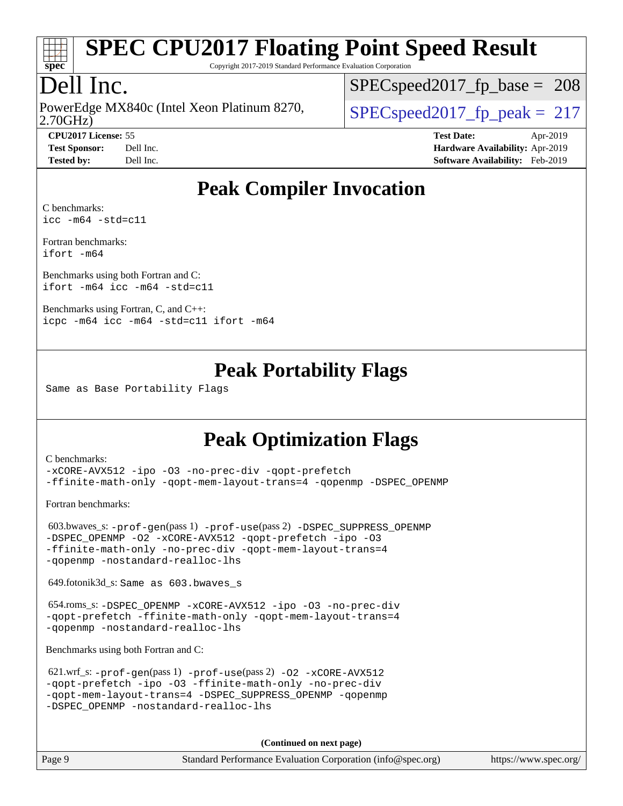

Copyright 2017-2019 Standard Performance Evaluation Corporation

# Dell Inc.

2.70GHz) PowerEdge MX840c (Intel Xeon Platinum 8270,  $\vert$  SPECspeed2017 fp\_peak = 217

SPECspeed2017 fp base =  $208$ 

**[CPU2017 License:](http://www.spec.org/auto/cpu2017/Docs/result-fields.html#CPU2017License)** 55 **[Test Date:](http://www.spec.org/auto/cpu2017/Docs/result-fields.html#TestDate)** Apr-2019 **[Test Sponsor:](http://www.spec.org/auto/cpu2017/Docs/result-fields.html#TestSponsor)** Dell Inc. **[Hardware Availability:](http://www.spec.org/auto/cpu2017/Docs/result-fields.html#HardwareAvailability)** Apr-2019

### **[Peak Compiler Invocation](http://www.spec.org/auto/cpu2017/Docs/result-fields.html#PeakCompilerInvocation)**

**[Tested by:](http://www.spec.org/auto/cpu2017/Docs/result-fields.html#Testedby)** Dell Inc. **[Software Availability:](http://www.spec.org/auto/cpu2017/Docs/result-fields.html#SoftwareAvailability)** Feb-2019

[C benchmarks](http://www.spec.org/auto/cpu2017/Docs/result-fields.html#Cbenchmarks): [icc -m64 -std=c11](http://www.spec.org/cpu2017/results/res2019q3/cpu2017-20190624-15422.flags.html#user_CCpeak_intel_icc_64bit_c11_33ee0cdaae7deeeab2a9725423ba97205ce30f63b9926c2519791662299b76a0318f32ddfffdc46587804de3178b4f9328c46fa7c2b0cd779d7a61945c91cd35)

[Fortran benchmarks](http://www.spec.org/auto/cpu2017/Docs/result-fields.html#Fortranbenchmarks): [ifort -m64](http://www.spec.org/cpu2017/results/res2019q3/cpu2017-20190624-15422.flags.html#user_FCpeak_intel_ifort_64bit_24f2bb282fbaeffd6157abe4f878425411749daecae9a33200eee2bee2fe76f3b89351d69a8130dd5949958ce389cf37ff59a95e7a40d588e8d3a57e0c3fd751)

[Benchmarks using both Fortran and C](http://www.spec.org/auto/cpu2017/Docs/result-fields.html#BenchmarksusingbothFortranandC): [ifort -m64](http://www.spec.org/cpu2017/results/res2019q3/cpu2017-20190624-15422.flags.html#user_CC_FCpeak_intel_ifort_64bit_24f2bb282fbaeffd6157abe4f878425411749daecae9a33200eee2bee2fe76f3b89351d69a8130dd5949958ce389cf37ff59a95e7a40d588e8d3a57e0c3fd751) [icc -m64 -std=c11](http://www.spec.org/cpu2017/results/res2019q3/cpu2017-20190624-15422.flags.html#user_CC_FCpeak_intel_icc_64bit_c11_33ee0cdaae7deeeab2a9725423ba97205ce30f63b9926c2519791662299b76a0318f32ddfffdc46587804de3178b4f9328c46fa7c2b0cd779d7a61945c91cd35)

[Benchmarks using Fortran, C, and C++:](http://www.spec.org/auto/cpu2017/Docs/result-fields.html#BenchmarksusingFortranCandCXX) [icpc -m64](http://www.spec.org/cpu2017/results/res2019q3/cpu2017-20190624-15422.flags.html#user_CC_CXX_FCpeak_intel_icpc_64bit_4ecb2543ae3f1412ef961e0650ca070fec7b7afdcd6ed48761b84423119d1bf6bdf5cad15b44d48e7256388bc77273b966e5eb805aefd121eb22e9299b2ec9d9) [icc -m64 -std=c11](http://www.spec.org/cpu2017/results/res2019q3/cpu2017-20190624-15422.flags.html#user_CC_CXX_FCpeak_intel_icc_64bit_c11_33ee0cdaae7deeeab2a9725423ba97205ce30f63b9926c2519791662299b76a0318f32ddfffdc46587804de3178b4f9328c46fa7c2b0cd779d7a61945c91cd35) [ifort -m64](http://www.spec.org/cpu2017/results/res2019q3/cpu2017-20190624-15422.flags.html#user_CC_CXX_FCpeak_intel_ifort_64bit_24f2bb282fbaeffd6157abe4f878425411749daecae9a33200eee2bee2fe76f3b89351d69a8130dd5949958ce389cf37ff59a95e7a40d588e8d3a57e0c3fd751)

### **[Peak Portability Flags](http://www.spec.org/auto/cpu2017/Docs/result-fields.html#PeakPortabilityFlags)**

Same as Base Portability Flags

### **[Peak Optimization Flags](http://www.spec.org/auto/cpu2017/Docs/result-fields.html#PeakOptimizationFlags)**

[C benchmarks](http://www.spec.org/auto/cpu2017/Docs/result-fields.html#Cbenchmarks):

[-xCORE-AVX512](http://www.spec.org/cpu2017/results/res2019q3/cpu2017-20190624-15422.flags.html#user_CCpeak_f-xCORE-AVX512) [-ipo](http://www.spec.org/cpu2017/results/res2019q3/cpu2017-20190624-15422.flags.html#user_CCpeak_f-ipo) [-O3](http://www.spec.org/cpu2017/results/res2019q3/cpu2017-20190624-15422.flags.html#user_CCpeak_f-O3) [-no-prec-div](http://www.spec.org/cpu2017/results/res2019q3/cpu2017-20190624-15422.flags.html#user_CCpeak_f-no-prec-div) [-qopt-prefetch](http://www.spec.org/cpu2017/results/res2019q3/cpu2017-20190624-15422.flags.html#user_CCpeak_f-qopt-prefetch) [-ffinite-math-only](http://www.spec.org/cpu2017/results/res2019q3/cpu2017-20190624-15422.flags.html#user_CCpeak_f_finite_math_only_cb91587bd2077682c4b38af759c288ed7c732db004271a9512da14a4f8007909a5f1427ecbf1a0fb78ff2a814402c6114ac565ca162485bbcae155b5e4258871) [-qopt-mem-layout-trans=4](http://www.spec.org/cpu2017/results/res2019q3/cpu2017-20190624-15422.flags.html#user_CCpeak_f-qopt-mem-layout-trans_fa39e755916c150a61361b7846f310bcdf6f04e385ef281cadf3647acec3f0ae266d1a1d22d972a7087a248fd4e6ca390a3634700869573d231a252c784941a8) [-qopenmp](http://www.spec.org/cpu2017/results/res2019q3/cpu2017-20190624-15422.flags.html#user_CCpeak_qopenmp_16be0c44f24f464004c6784a7acb94aca937f053568ce72f94b139a11c7c168634a55f6653758ddd83bcf7b8463e8028bb0b48b77bcddc6b78d5d95bb1df2967) [-DSPEC\\_OPENMP](http://www.spec.org/cpu2017/results/res2019q3/cpu2017-20190624-15422.flags.html#suite_CCpeak_DSPEC_OPENMP)

[Fortran benchmarks](http://www.spec.org/auto/cpu2017/Docs/result-fields.html#Fortranbenchmarks):

```
 603.bwaves_s: -prof-gen(pass 1) -prof-use(pass 2) -DSPEC_SUPPRESS_OPENMP
-DSPEC_OPENMP -O2 -xCORE-AVX512 -qopt-prefetch -ipo -O3
-ffinite-math-only -no-prec-div -qopt-mem-layout-trans=4
-qopenmp -nostandard-realloc-lhs
```
649.fotonik3d\_s: Same as 603.bwaves\_s

 654.roms\_s: [-DSPEC\\_OPENMP](http://www.spec.org/cpu2017/results/res2019q3/cpu2017-20190624-15422.flags.html#suite_peakFOPTIMIZE654_roms_s_DSPEC_OPENMP) [-xCORE-AVX512](http://www.spec.org/cpu2017/results/res2019q3/cpu2017-20190624-15422.flags.html#user_peakFOPTIMIZE654_roms_s_f-xCORE-AVX512) [-ipo](http://www.spec.org/cpu2017/results/res2019q3/cpu2017-20190624-15422.flags.html#user_peakFOPTIMIZE654_roms_s_f-ipo) [-O3](http://www.spec.org/cpu2017/results/res2019q3/cpu2017-20190624-15422.flags.html#user_peakFOPTIMIZE654_roms_s_f-O3) [-no-prec-div](http://www.spec.org/cpu2017/results/res2019q3/cpu2017-20190624-15422.flags.html#user_peakFOPTIMIZE654_roms_s_f-no-prec-div) [-qopt-prefetch](http://www.spec.org/cpu2017/results/res2019q3/cpu2017-20190624-15422.flags.html#user_peakFOPTIMIZE654_roms_s_f-qopt-prefetch) [-ffinite-math-only](http://www.spec.org/cpu2017/results/res2019q3/cpu2017-20190624-15422.flags.html#user_peakFOPTIMIZE654_roms_s_f_finite_math_only_cb91587bd2077682c4b38af759c288ed7c732db004271a9512da14a4f8007909a5f1427ecbf1a0fb78ff2a814402c6114ac565ca162485bbcae155b5e4258871) [-qopt-mem-layout-trans=4](http://www.spec.org/cpu2017/results/res2019q3/cpu2017-20190624-15422.flags.html#user_peakFOPTIMIZE654_roms_s_f-qopt-mem-layout-trans_fa39e755916c150a61361b7846f310bcdf6f04e385ef281cadf3647acec3f0ae266d1a1d22d972a7087a248fd4e6ca390a3634700869573d231a252c784941a8) [-qopenmp](http://www.spec.org/cpu2017/results/res2019q3/cpu2017-20190624-15422.flags.html#user_peakFOPTIMIZE654_roms_s_qopenmp_16be0c44f24f464004c6784a7acb94aca937f053568ce72f94b139a11c7c168634a55f6653758ddd83bcf7b8463e8028bb0b48b77bcddc6b78d5d95bb1df2967) [-nostandard-realloc-lhs](http://www.spec.org/cpu2017/results/res2019q3/cpu2017-20190624-15422.flags.html#user_peakEXTRA_FOPTIMIZE654_roms_s_f_2003_std_realloc_82b4557e90729c0f113870c07e44d33d6f5a304b4f63d4c15d2d0f1fab99f5daaed73bdb9275d9ae411527f28b936061aa8b9c8f2d63842963b95c9dd6426b8a)

[Benchmarks using both Fortran and C](http://www.spec.org/auto/cpu2017/Docs/result-fields.html#BenchmarksusingbothFortranandC):

| 621.wrf_s: $-prof-qen(pass 1) -prof-use(pass 2) -02 -xCORE-AVX512$ |
|--------------------------------------------------------------------|
| -gopt-prefetch -ipo -03 -ffinite-math-only -no-prec-div            |
| -gopt-mem-layout-trans=4 -DSPEC SUPPRESS OPENMP -gopenmp           |
| -DSPEC OPENMP -nostandard-realloc-lhs                              |

**(Continued on next page)**